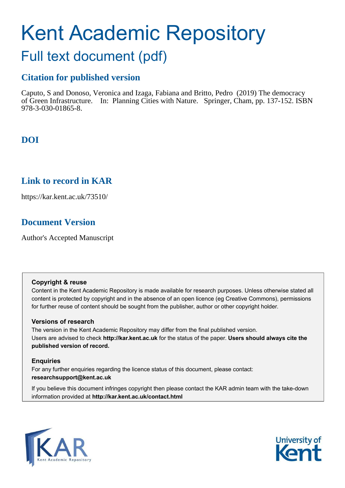# Kent Academic Repository Full text document (pdf)

## **Citation for published version**

Caputo, S and Donoso, Veronica and Izaga, Fabiana and Britto, Pedro (2019) The democracy of Green Infrastructure. In: Planning Cities with Nature. Springer, Cham, pp. 137-152. ISBN 978-3-030-01865-8.

## **DOI**

## **Link to record in KAR**

https://kar.kent.ac.uk/73510/

## **Document Version**

Author's Accepted Manuscript

## **Copyright & reuse**

Content in the Kent Academic Repository is made available for research purposes. Unless otherwise stated all content is protected by copyright and in the absence of an open licence (eg Creative Commons), permissions for further reuse of content should be sought from the publisher, author or other copyright holder.

## **Versions of research**

The version in the Kent Academic Repository may differ from the final published version. Users are advised to check **http://kar.kent.ac.uk** for the status of the paper. **Users should always cite the published version of record.**

## **Enquiries**

For any further enquiries regarding the licence status of this document, please contact: **researchsupport@kent.ac.uk**

If you believe this document infringes copyright then please contact the KAR admin team with the take-down information provided at **http://kar.kent.ac.uk/contact.html**



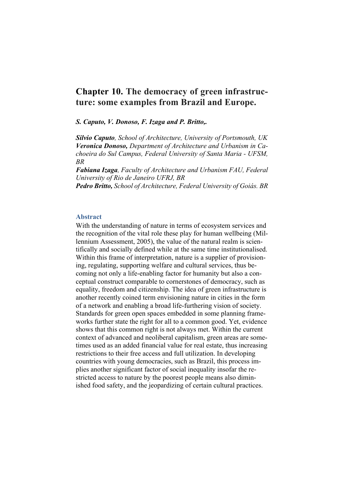## **Chapter 10. The democracy of green infrastructure: some examples from Brazil and Europe.**

*S. Caputo, V. Donoso, F. Izaga and P. Britto,.*

*Silvio Caputo, School of Architecture, University of Portsmouth, UK Veronica Donoso, Department of Architecture and Urbanism in Cachoeira do Sul Campus, Federal University of Santa Maria - UFSM, BR*

*Fabiana Izaga, Faculty of Architecture and Urbanism FAU, Federal University of Rio de Janeiro UFRJ, BR*

*Pedro Britto, School of Architecture, Federal University of Goiás. BR*

#### **Abstract**

With the understanding of nature in terms of ecosystem services and the recognition of the vital role these play for human wellbeing (Millennium Assessment, 2005), the value of the natural realm is scientifically and socially defined while at the same time institutionalised. Within this frame of interpretation, nature is a supplier of provisioning, regulating, supporting welfare and cultural services, thus becoming not only a life-enabling factor for humanity but also a conceptual construct comparable to cornerstones of democracy, such as equality, freedom and citizenship. The idea of green infrastructure is another recently coined term envisioning nature in cities in the form of a network and enabling a broad life-furthering vision of society. Standards for green open spaces embedded in some planning frameworks further state the right for all to a common good. Yet, evidence shows that this common right is not always met. Within the current context of advanced and neoliberal capitalism, green areas are sometimes used as an added financial value for real estate, thus increasing restrictions to their free access and full utilization. In developing countries with young democracies, such as Brazil, this process implies another significant factor of social inequality insofar the restricted access to nature by the poorest people means also diminished food safety, and the jeopardizing of certain cultural practices.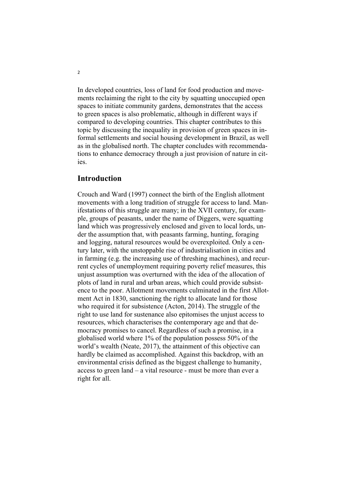In developed countries, loss of land for food production and movements reclaiming the right to the city by squatting unoccupied open spaces to initiate community gardens, demonstrates that the access to green spaces is also problematic, although in different ways if compared to developing countries. This chapter contributes to this topic by discussing the inequality in provision of green spaces in informal settlements and social housing development in Brazil, as well as in the globalised north. The chapter concludes with recommendations to enhance democracy through a just provision of nature in cities.

### **Introduction**

Crouch and Ward (1997) connect the birth of the English allotment movements with a long tradition of struggle for access to land. Manifestations of this struggle are many; in the XVII century, for example, groups of peasants, under the name of Diggers, were squatting land which was progressively enclosed and given to local lords, under the assumption that, with peasants farming, hunting, foraging and logging, natural resources would be overexploited. Only a century later, with the unstoppable rise of industrialisation in cities and in farming (e.g. the increasing use of threshing machines), and recurrent cycles of unemployment requiring poverty relief measures, this unjust assumption was overturned with the idea of the allocation of plots of land in rural and urban areas, which could provide subsistence to the poor. Allotment movements culminated in the first Allotment Act in 1830, sanctioning the right to allocate land for those who required it for subsistence (Acton, 2014). The struggle of the right to use land for sustenance also epitomises the unjust access to resources, which characterises the contemporary age and that democracy promises to cancel. Regardless of such a promise, in a globalised world where 1% of the population possess 50% of the world's wealth (Neate, 2017), the attainment of this objective can hardly be claimed as accomplished. Against this backdrop, with an environmental crisis defined as the biggest challenge to humanity, access to green land – a vital resource - must be more than ever a right for all.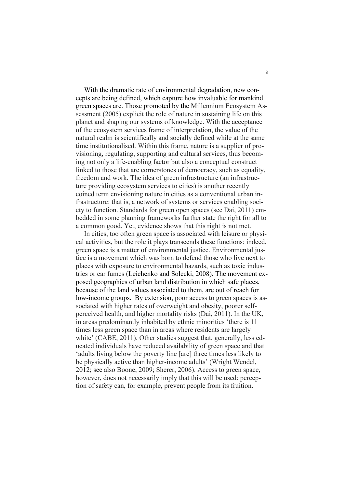With the dramatic rate of environmental degradation, new concepts are being defined, which capture how invaluable for mankind green spaces are. Those promoted by the Millennium Ecosystem Assessment (2005) explicit the role of nature in sustaining life on this planet and shaping our systems of knowledge. With the acceptance of the ecosystem services frame of interpretation, the value of the natural realm is scientifically and socially defined while at the same time institutionalised. Within this frame, nature is a supplier of provisioning, regulating, supporting and cultural services, thus becoming not only a life-enabling factor but also a conceptual construct linked to those that are cornerstones of democracy, such as equality, freedom and work. The idea of green infrastructure (an infrastructure providing ecosystem services to cities) is another recently coined term envisioning nature in cities as a conventional urban infrastructure: that is, a network of systems or services enabling society to function. Standards for green open spaces (see Dai, 2011) embedded in some planning frameworks further state the right for all to a common good. Yet, evidence shows that this right is not met.

In cities, too often green space is associated with leisure or physical activities, but the role it plays transcends these functions: indeed, green space is a matter of environmental justice. Environmental justice is a movement which was born to defend those who live next to places with exposure to environmental hazards, such as toxic industries or car fumes (Leichenko and Solecki, 2008). The movement exposed geographies of urban land distribution in which safe places, because of the land values associated to them, are out of reach for low-income groups. By extension, poor access to green spaces is associated with higher rates of overweight and obesity, poorer selfperceived health, and higher mortality risks (Dai, 2011). In the UK, in areas predominantly inhabited by ethnic minorities 'there is 11 times less green space than in areas where residents are largely white' (CABE, 2011). Other studies suggest that, generally, less educated individuals have reduced availability of green space and that 'adults living below the poverty line [are] three times less likely to be physically active than higher-income adults' (Wright Wendel, 2012; see also Boone, 2009; Sherer, 2006). Access to green space, however, does not necessarily imply that this will be used: perception of safety can, for example, prevent people from its fruition.

3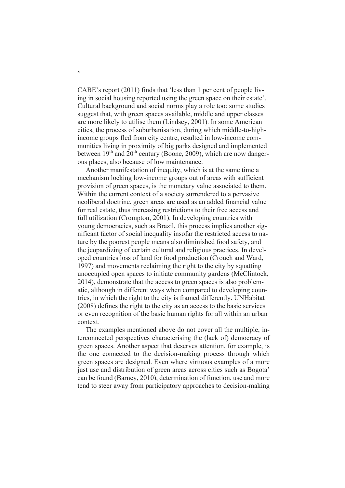CABE's report (2011) finds that 'less than 1 per cent of people living in social housing reported using the green space on their estate'. Cultural background and social norms play a role too: some studies suggest that, with green spaces available, middle and upper classes are more likely to utilise them (Lindsey, 2001). In some American cities, the process of suburbanisation, during which middle-to-highincome groups fled from city centre, resulted in low-income communities living in proximity of big parks designed and implemented between  $19<sup>th</sup>$  and  $20<sup>th</sup>$  century (Boone, 2009), which are now dangerous places, also because of low maintenance.

Another manifestation of inequity, which is at the same time a mechanism locking low-income groups out of areas with sufficient provision of green spaces, is the monetary value associated to them. Within the current context of a society surrendered to a pervasive neoliberal doctrine, green areas are used as an added financial value for real estate, thus increasing restrictions to their free access and full utilization (Crompton, 2001). In developing countries with young democracies, such as Brazil, this process implies another significant factor of social inequality insofar the restricted access to nature by the poorest people means also diminished food safety, and the jeopardizing of certain cultural and religious practices. In developed countries loss of land for food production (Crouch and Ward, 1997) and movements reclaiming the right to the city by squatting unoccupied open spaces to initiate community gardens (McClintock, 2014), demonstrate that the access to green spaces is also problematic, although in different ways when compared to developing countries, in which the right to the city is framed differently. UNHabitat (2008) defines the right to the city as an access to the basic services or even recognition of the basic human rights for all within an urban context.

The examples mentioned above do not cover all the multiple, interconnected perspectives characterising the (lack of) democracy of green spaces. Another aspect that deserves attention, for example, is the one connected to the decision-making process through which green spaces are designed. Even where virtuous examples of a more just use and distribution of green areas across cities such as Bogota' can be found (Barney, 2010), determination of function, use and more tend to steer away from participatory approaches to decision-making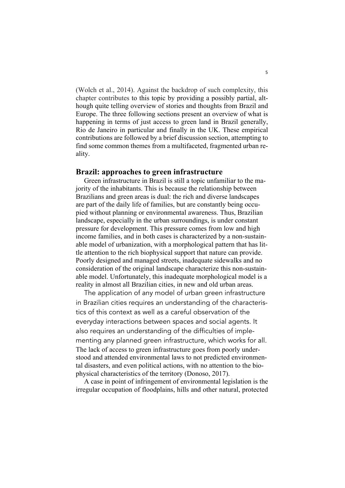(Wolch et al., 2014). Against the backdrop of such complexity, this chapter contributes to this topic by providing a possibly partial, although quite telling overview of stories and thoughts from Brazil and Europe. The three following sections present an overview of what is happening in terms of just access to green land in Brazil generally, Rio de Janeiro in particular and finally in the UK. These empirical contributions are followed by a brief discussion section, attempting to find some common themes from a multifaceted, fragmented urban reality.

#### **Brazil: approaches to green infrastructure**

Green infrastructure in Brazil is still a topic unfamiliar to the majority of the inhabitants. This is because the relationship between Brazilians and green areas is dual: the rich and diverse landscapes are part of the daily life of families, but are constantly being occupied without planning or environmental awareness. Thus, Brazilian landscape, especially in the urban surroundings, is under constant pressure for development. This pressure comes from low and high income families, and in both cases is characterized by a non-sustainable model of urbanization, with a morphological pattern that has little attention to the rich biophysical support that nature can provide. Poorly designed and managed streets, inadequate sidewalks and no consideration of the original landscape characterize this non-sustainable model. Unfortunately, this inadequate morphological model is a reality in almost all Brazilian cities, in new and old urban areas.

The application of any model of urban green infrastructure in Brazilian cities requires an understanding of the characteristics of this context as well as a careful observation of the everyday interactions between spaces and social agents. It also requires an understanding of the difficulties of implementing any planned green infrastructure, which works for all. The lack of access to green infrastructure goes from poorly understood and attended environmental laws to not predicted environmental disasters, and even political actions, with no attention to the biophysical characteristics of the territory (Donoso, 2017).

A case in point of infringement of environmental legislation is the irregular occupation of floodplains, hills and other natural, protected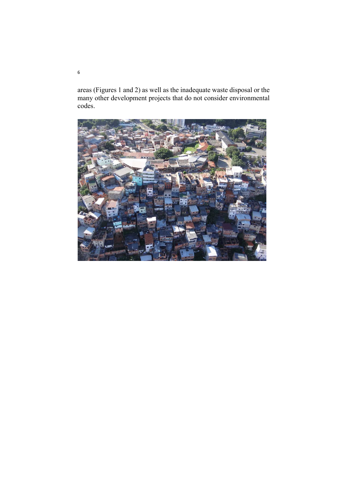areas (Figures 1 and 2) as well as the inadequate waste disposal or the many other development projects that do not consider environmental codes.

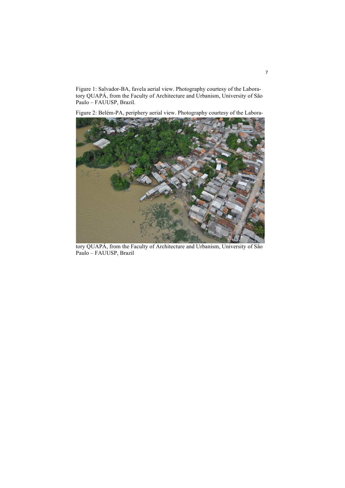Figure 1: Salvador-BA, favela aerial view. Photography courtesy of the Laboratory QUAPÁ, from the Faculty of Architecture and Urbanism, University of São Paulo – FAUUSP, Brazil.

Figure 2: Belém-PA, periphery aerial view. Photography courtesy of the Labora-



tory QUAPÁ, from the Faculty of Architecture and Urbanism, University of São Paulo – FAUUSP, Brazil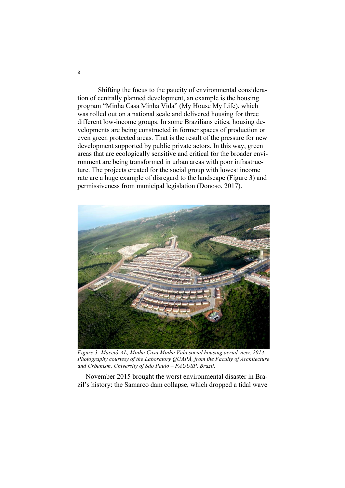Shifting the focus to the paucity of environmental consideration of centrally planned development, an example is the housing program "Minha Casa Minha Vida" (My House My Life), which was rolled out on a national scale and delivered housing for three different low-income groups. In some Brazilians cities, housing developments are being constructed in former spaces of production or even green protected areas. That is the result of the pressure for new development supported by public private actors. In this way, green areas that are ecologically sensitive and critical for the broader environment are being transformed in urban areas with poor infrastructure. The projects created for the social group with lowest income rate are a huge example of disregard to the landscape (Figure 3) and permissiveness from municipal legislation (Donoso, 2017).



*Figure 3: Maceió-AL, Minha Casa Minha Vida social housing aerial view, 2014. Photography courtesy of the Laboratory QUAPÁ, from the Faculty of Architecture and Urbanism, University of São Paulo – FAUUSP, Brazil.*

November 2015 brought the worst environmental disaster in Brazil's history: the Samarco dam collapse, which dropped a tidal wave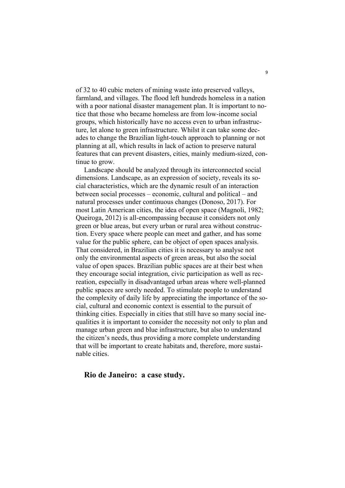of 32 to 40 cubic meters of mining waste into preserved valleys, farmland, and villages. The flood left hundreds homeless in a nation with a poor national disaster management plan. It is important to notice that those who became homeless are from low-income social groups, which historically have no access even to urban infrastructure, let alone to green infrastructure. Whilst it can take some decades to change the Brazilian light-touch approach to planning or not planning at all, which results in lack of action to preserve natural features that can prevent disasters, cities, mainly medium-sized, continue to grow.

Landscape should be analyzed through its interconnected social dimensions. Landscape, as an expression of society, reveals its social characteristics, which are the dynamic result of an interaction between social processes – economic, cultural and political – and natural processes under continuous changes (Donoso, 2017). For most Latin American cities, the idea of open space (Magnoli, 1982; Queiroga, 2012) is all-encompassing because it considers not only green or blue areas, but every urban or rural area without construction. Every space where people can meet and gather, and has some value for the public sphere, can be object of open spaces analysis. That considered, in Brazilian cities it is necessary to analyse not only the environmental aspects of green areas, but also the social value of open spaces. Brazilian public spaces are at their best when they encourage social integration, civic participation as well as recreation, especially in disadvantaged urban areas where well-planned public spaces are sorely needed. To stimulate people to understand the complexity of daily life by appreciating the importance of the social, cultural and economic context is essential to the pursuit of thinking cities. Especially in cities that still have so many social inequalities it is important to consider the necessity not only to plan and manage urban green and blue infrastructure, but also to understand the citizen's needs, thus providing a more complete understanding that will be important to create habitats and, therefore, more sustainable cities.

## **Rio de Janeiro: a case study.**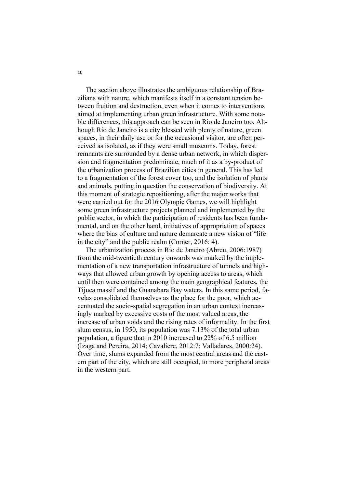The section above illustrates the ambiguous relationship of Brazilians with nature, which manifests itself in a constant tension between fruition and destruction, even when it comes to interventions aimed at implementing urban green infrastructure. With some notable differences, this approach can be seen in Rio de Janeiro too. Although Rio de Janeiro is a city blessed with plenty of nature, green spaces, in their daily use or for the occasional visitor, are often perceived as isolated, as if they were small museums. Today, forest remnants are surrounded by a dense urban network, in which dispersion and fragmentation predominate, much of it as a by-product of the urbanization process of Brazilian cities in general. This has led to a fragmentation of the forest cover too, and the isolation of plants and animals, putting in question the conservation of biodiversity. At this moment of strategic repositioning, after the major works that were carried out for the 2016 Olympic Games, we will highlight some green infrastructure projects planned and implemented by the public sector, in which the participation of residents has been fundamental, and on the other hand, initiatives of appropriation of spaces where the bias of culture and nature demarcate a new vision of "life" in the city" and the public realm (Corner, 2016: 4).

The urbanization process in Rio de Janeiro (Abreu, 2006:1987) from the mid-twentieth century onwards was marked by the implementation of a new transportation infrastructure of tunnels and highways that allowed urban growth by opening access to areas, which until then were contained among the main geographical features, the Tijuca massif and the Guanabara Bay waters. In this same period, favelas consolidated themselves as the place for the poor, which accentuated the socio-spatial segregation in an urban context increasingly marked by excessive costs of the most valued areas, the increase of urban voids and the rising rates of informality. In the first slum census, in 1950, its population was 7.13% of the total urban population, a figure that in 2010 increased to 22% of 6.5 million (Izaga and Pereira, 2014; Cavaliere, 2012:7; Valladares, 2000:24). Over time, slums expanded from the most central areas and the eastern part of the city, which are still occupied, to more peripheral areas in the western part.

10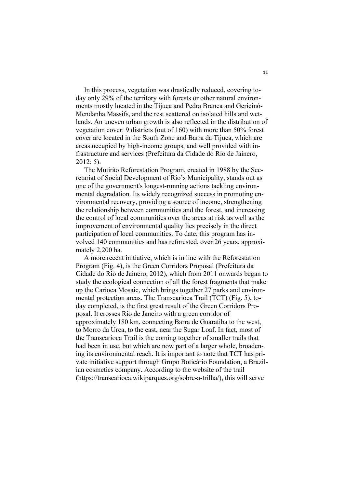In this process, vegetation was drastically reduced, covering today only 29% of the territory with forests or other natural environments mostly located in the Tijuca and Pedra Branca and Gericinó-Mendanha Massifs, and the rest scattered on isolated hills and wetlands. An uneven urban growth is also reflected in the distribution of vegetation cover: 9 districts (out of 160) with more than 50% forest cover are located in the South Zone and Barra da Tijuca, which are areas occupied by high-income groups, and well provided with infrastructure and services (Prefeitura da Cidade do Rio de Jainero, 2012: 5).

The Mutirão Reforestation Program, created in 1988 by the Secretariat of Social Development of Rio's Municipality, stands out as one of the government's longest-running actions tackling environmental degradation. Its widely recognized success in promoting environmental recovery, providing a source of income, strengthening the relationship between communities and the forest, and increasing the control of local communities over the areas at risk as well as the improvement of environmental quality lies precisely in the direct participation of local communities. To date, this program has involved 140 communities and has reforested, over 26 years, approximately 2,200 ha.

A more recent initiative, which is in line with the Reforestation Program (Fig. 4), is the Green Corridors Proposal (Prefeitura da Cidade do Rio de Jainero, 2012), which from 2011 onwards began to study the ecological connection of all the forest fragments that make up the Carioca Mosaic, which brings together 27 parks and environmental protection areas. The Transcarioca Trail (TCT) (Fig. 5), today completed, is the first great result of the Green Corridors Proposal. It crosses Rio de Janeiro with a green corridor of approximately 180 km, connecting Barra de Guaratiba to the west, to Morro da Urca, to the east, near the Sugar Loaf. In fact, most of the Transcarioca Trail is the coming together of smaller trails that had been in use, but which are now part of a larger whole, broadening its environmental reach. It is important to note that TCT has private initiative support through Grupo Boticário Foundation, a Brazilian cosmetics company. According to the website of the trail (https://transcarioca.wikiparques.org/sobre-a-trilha/), this will serve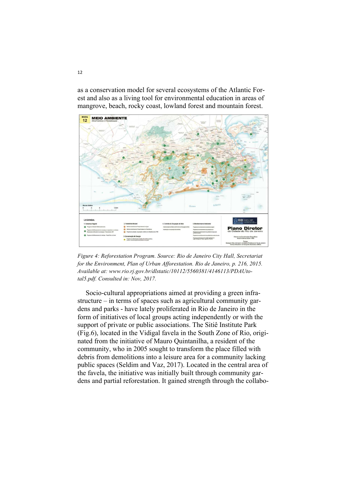as a conservation model for several ecosystems of the Atlantic Forest and also as a living tool for environmental education in areas of mangrove, beach, rocky coast, lowland forest and mountain forest.



*Figure 4: Reforestation Program. Source: Rio de Janeiro City Hall, Secretariat for the Environment, Plan of Urban Afforestation. Rio de Janeiro, p. 216, 2015. Available at: www.rio.rj.gov.br/dlstatic/10112/5560381/4146113/PDAUtotal5.pdf. Consulted in: Nov, 2017.*

Socio-cultural appropriations aimed at providing a green infrastructure – in terms of spaces such as agricultural community gardens and parks - have lately proliferated in Rio de Janeiro in the form of initiatives of local groups acting independently or with the support of private or public associations. The Sitiê Institute Park (Fig.6), located in the Vidigal favela in the South Zone of Rio, originated from the initiative of Mauro Quintanilha, a resident of the community, who in 2005 sought to transform the place filled with debris from demolitions into a leisure area for a community lacking public spaces (Seldim and Vaz, 2017). Located in the central area of the favela, the initiative was initially built through community gardens and partial reforestation. It gained strength through the collabo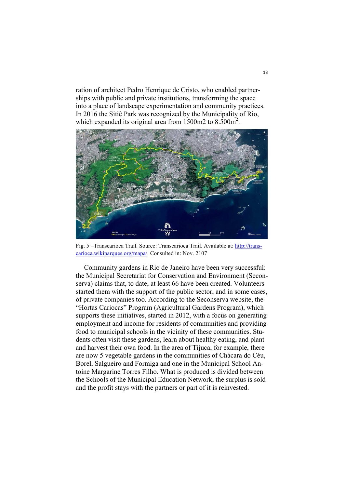ration of architect Pedro Henrique de Cristo, who enabled partnerships with public and private institutions, transforming the space into a place of landscape experimentation and community practices. In 2016 the Sitiê Park was recognized by the Municipality of Rio, which expanded its original area from 1500m2 to 8.500m<sup>2</sup>.



Fig. 5 –Transcarioca Trail. Source: Transcarioca Trail. Available at: http://transcarioca.wikiparques.org/mapa/. Consulted in: Nov. 2107

Community gardens in Rio de Janeiro have been very successful: the Municipal Secretariat for Conservation and Environment (Seconserva) claims that, to date, at least 66 have been created. Volunteers started them with the support of the public sector, and in some cases, of private companies too. According to the Seconserva website, the "Hortas Cariocas" Program (Agricultural Gardens Program), which supports these initiatives, started in 2012, with a focus on generating employment and income for residents of communities and providing food to municipal schools in the vicinity of these communities. Students often visit these gardens, learn about healthy eating, and plant and harvest their own food. In the area of Tijuca, for example, there are now 5 vegetable gardens in the communities of Chácara do Céu, Borel, Salgueiro and Formiga and one in the Municipal School Antoine Margarine Torres Filho. What is produced is divided between the Schools of the Municipal Education Network, the surplus is sold and the profit stays with the partners or part of it is reinvested.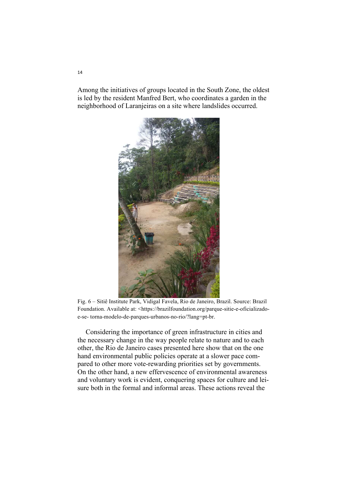Among the initiatives of groups located in the South Zone, the oldest is led by the resident Manfred Bert, who coordinates a garden in the neighborhood of Laranjeiras on a site where landslides occurred.



Fig. 6 – Sitiê Institute Park, Vidigal Favela, Rio de Janeiro, Brazil. Source: Brazil Foundation. Available at: <https://brazilfoundation.org/parque-sitie-e-oficializadoe-se- torna-modelo-de-parques-urbanos-no-rio/?lang=pt-br.

Considering the importance of green infrastructure in cities and the necessary change in the way people relate to nature and to each other, the Rio de Janeiro cases presented here show that on the one hand environmental public policies operate at a slower pace compared to other more vote-rewarding priorities set by governments. On the other hand, a new effervescence of environmental awareness and voluntary work is evident, conquering spaces for culture and leisure both in the formal and informal areas. These actions reveal the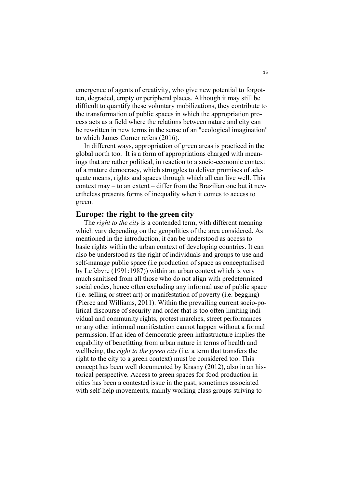emergence of agents of creativity, who give new potential to forgotten, degraded, empty or peripheral places. Although it may still be difficult to quantify these voluntary mobilizations, they contribute to the transformation of public spaces in which the appropriation process acts as a field where the relations between nature and city can be rewritten in new terms in the sense of an "ecological imagination" to which James Corner refers (2016).

In different ways, appropriation of green areas is practiced in the global north too. It is a form of appropriations charged with meanings that are rather political, in reaction to a socio-economic context of a mature democracy, which struggles to deliver promises of adequate means, rights and spaces through which all can live well. This context may – to an extent – differ from the Brazilian one but it nevertheless presents forms of inequality when it comes to access to green.

#### **Europe: the right to the green city**

The *right to the city* is a contended term, with different meaning which vary depending on the geopolitics of the area considered. As mentioned in the introduction, it can be understood as access to basic rights within the urban context of developing countries. It can also be understood as the right of individuals and groups to use and self-manage public space (i.e production of space as conceptualised by Lefebvre (1991:1987)) within an urban context which is very much sanitised from all those who do not align with predetermined social codes, hence often excluding any informal use of public space (i.e. selling or street art) or manifestation of poverty (i.e. begging) (Pierce and Williams, 2011). Within the prevailing current socio-political discourse of security and order that is too often limiting individual and community rights, protest marches, street performances or any other informal manifestation cannot happen without a formal permission. If an idea of democratic green infrastructure implies the capability of benefitting from urban nature in terms of health and wellbeing, the *right to the green city* (i.e. a term that transfers the right to the city to a green context) must be considered too. This concept has been well documented by Krasny (2012), also in an historical perspective. Access to green spaces for food production in cities has been a contested issue in the past, sometimes associated with self-help movements, mainly working class groups striving to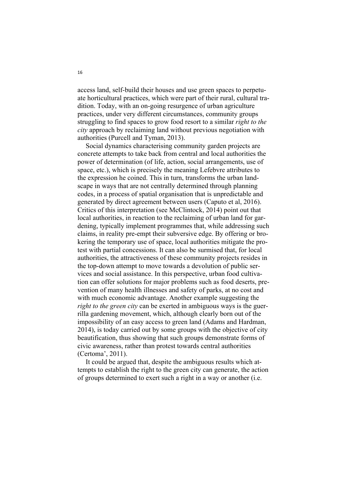access land, self-build their houses and use green spaces to perpetuate horticultural practices, which were part of their rural, cultural tradition. Today, with an on-going resurgence of urban agriculture practices, under very different circumstances, community groups struggling to find spaces to grow food resort to a similar *right to the city* approach by reclaiming land without previous negotiation with authorities (Purcell and Tyman, 2013).

Social dynamics characterising community garden projects are concrete attempts to take back from central and local authorities the power of determination (of life, action, social arrangements, use of space, etc.), which is precisely the meaning Lefebvre attributes to the expression he coined. This in turn, transforms the urban landscape in ways that are not centrally determined through planning codes, in a process of spatial organisation that is unpredictable and generated by direct agreement between users (Caputo et al, 2016). Critics of this interpretation (see McClintock, 2014) point out that local authorities, in reaction to the reclaiming of urban land for gardening, typically implement programmes that, while addressing such claims, in reality pre-empt their subversive edge. By offering or brokering the temporary use of space, local authorities mitigate the protest with partial concessions. It can also be surmised that, for local authorities, the attractiveness of these community projects resides in the top-down attempt to move towards a devolution of public services and social assistance. In this perspective, urban food cultivation can offer solutions for major problems such as food deserts, prevention of many health illnesses and safety of parks, at no cost and with much economic advantage. Another example suggesting the *right to the green city* can be exerted in ambiguous ways is the guerrilla gardening movement, which, although clearly born out of the impossibility of an easy access to green land (Adams and Hardman, 2014), is today carried out by some groups with the objective of city beautification, thus showing that such groups demonstrate forms of civic awareness, rather than protest towards central authorities (Certoma', 2011).

It could be argued that, despite the ambiguous results which attempts to establish the right to the green city can generate, the action of groups determined to exert such a right in a way or another (i.e.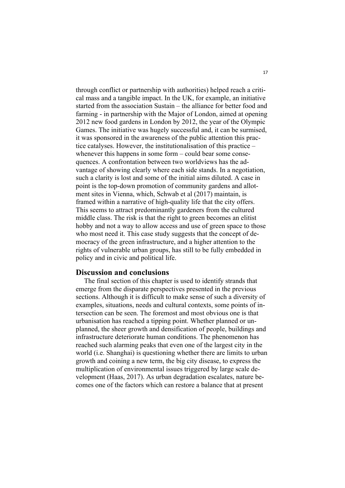through conflict or partnership with authorities) helped reach a critical mass and a tangible impact. In the UK, for example, an initiative started from the association Sustain – the alliance for better food and farming - in partnership with the Major of London, aimed at opening 2012 new food gardens in London by 2012, the year of the Olympic Games. The initiative was hugely successful and, it can be surmised, it was sponsored in the awareness of the public attention this practice catalyses. However, the institutionalisation of this practice – whenever this happens in some form – could bear some consequences. A confrontation between two worldviews has the advantage of showing clearly where each side stands. In a negotiation, such a clarity is lost and some of the initial aims diluted. A case in point is the top-down promotion of community gardens and allotment sites in Vienna, which, Schwab et al (2017) maintain, is framed within a narrative of high-quality life that the city offers. This seems to attract predominantly gardeners from the cultured middle class. The risk is that the right to green becomes an elitist hobby and not a way to allow access and use of green space to those who most need it. This case study suggests that the concept of democracy of the green infrastructure, and a higher attention to the rights of vulnerable urban groups, has still to be fully embedded in policy and in civic and political life.

## **Discussion and conclusions**

The final section of this chapter is used to identify strands that emerge from the disparate perspectives presented in the previous sections. Although it is difficult to make sense of such a diversity of examples, situations, needs and cultural contexts, some points of intersection can be seen. The foremost and most obvious one is that urbanisation has reached a tipping point. Whether planned or unplanned, the sheer growth and densification of people, buildings and infrastructure deteriorate human conditions. The phenomenon has reached such alarming peaks that even one of the largest city in the world (i.e. Shanghai) is questioning whether there are limits to urban growth and coining a new term, the big city disease, to express the multiplication of environmental issues triggered by large scale development (Haas, 2017). As urban degradation escalates, nature becomes one of the factors which can restore a balance that at present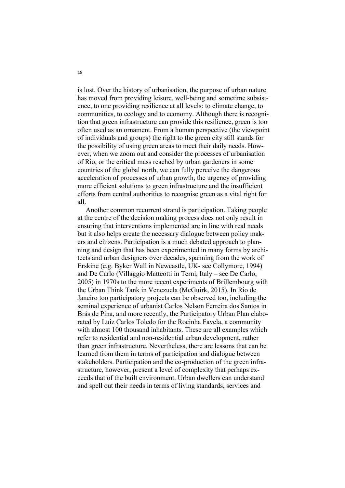is lost. Over the history of urbanisation, the purpose of urban nature has moved from providing leisure, well-being and sometime subsistence, to one providing resilience at all levels: to climate change, to communities, to ecology and to economy. Although there is recognition that green infrastructure can provide this resilience, green is too often used as an ornament. From a human perspective (the viewpoint of individuals and groups) the right to the green city still stands for the possibility of using green areas to meet their daily needs. However, when we zoom out and consider the processes of urbanisation of Rio, or the critical mass reached by urban gardeners in some countries of the global north, we can fully perceive the dangerous acceleration of processes of urban growth, the urgency of providing more efficient solutions to green infrastructure and the insufficient efforts from central authorities to recognise green as a vital right for all.

Another common recurrent strand is participation. Taking people at the centre of the decision making process does not only result in ensuring that interventions implemented are in line with real needs but it also helps create the necessary dialogue between policy makers and citizens. Participation is a much debated approach to planning and design that has been experimented in many forms by architects and urban designers over decades, spanning from the work of Erskine (e.g. Byker Wall in Newcastle, UK- see Collymore, 1994) and De Carlo (Villaggio Matteotti in Terni, Italy – see De Carlo, 2005) in 1970s to the more recent experiments of Brillembourg with the Urban Think Tank in Venezuela (McGuirk, 2015). In Rio de Janeiro too participatory projects can be observed too, including the seminal experience of urbanist Carlos Nelson Ferreira dos Santos in Brás de Pina, and more recently, the Participatory Urban Plan elaborated by Luiz Carlos Toledo for the Rocinha Favela, a community with almost 100 thousand inhabitants. These are all examples which refer to residential and non-residential urban development, rather than green infrastructure. Nevertheless, there are lessons that can be learned from them in terms of participation and dialogue between stakeholders. Participation and the co-production of the green infrastructure, however, present a level of complexity that perhaps exceeds that of the built environment. Urban dwellers can understand and spell out their needs in terms of living standards, services and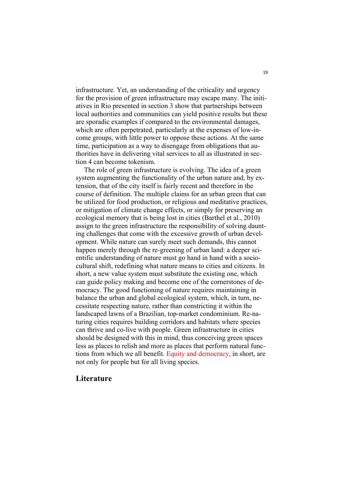infrastructure. Yet, an understanding of the criticality and urgency for the provision of green infrastructure may escape many. The initiatives in Rio presented in section 3 show that partnerships between local authorities and communities can yield positive results but these are sporadic examples if compared to the environmental damages, which are often perpetrated, particularly at the expenses of low-income groups, with little power to oppose these actions. At the same time, participation as a way to disengage from obligations that authorities have in delivering vital services to all as illustrated in section 4 can become tokenism.

The role of green infrastructure is evolving. The idea of a green system augmenting the functionality of the urban nature and, by extension, that of the city itself is fairly recent and therefore in the course of definition. The multiple claims for an urban green that can be utilized for food production, or religious and meditative practices, or mitigation of climate change effects, or simply for preserving an ecological memory that is being lost in cities (Barthel et al., 2010) assign to the green infrastructure the responsibility of solving daunting challenges that come with the excessive growth of urban development. While nature can surely meet such demands, this cannot happen merely through the re-greening of urban land: a deeper scientific understanding of nature must go hand in hand with a sociocultural shift, redefining what nature means to cities and citizens. In short, a new value system must substitute the existing one, which can guide policy making and become one of the cornerstones of democracy. The good functioning of nature requires maintaining in balance the urban and global ecological system, which, in turn, necessitate respecting nature, rather than constricting it within the landscaped lawns of a Brazilian, top-market condominium. Re-naturing cities requires building corridors and habitats where species can thrive and co-live with people. Green infrastructure in cities should be designed with this in mind, thus conceiving green spaces less as places to relish and more as places that perform natural functions from which we all benefit. Equity and democracy, in short, are not only for people but for all living species.

## **Literature**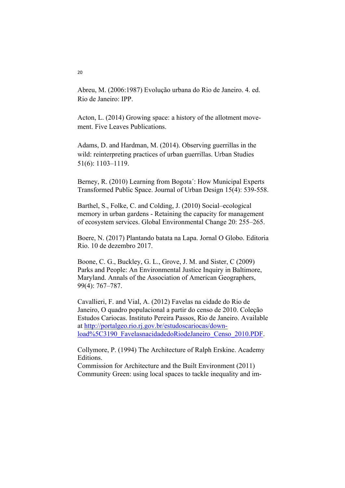Abreu, M. (2006:1987) Evolução urbana do Rio de Janeiro. 4. ed. Rio de Janeiro: IPP.

Acton, L. (2014) Growing space: a history of the allotment movement. Five Leaves Publications.

Adams, D. and Hardman, M. (2014). Observing guerrillas in the wild: reinterpreting practices of urban guerrillas. Urban Studies 51(6): 1103–1119.

Berney, R. (2010) Learning from Bogota´: How Municipal Experts Transformed Public Space. Journal of Urban Design 15(4): 539-558.

Barthel, S., Folke, C. and Colding, J. (2010) Social–ecological memory in urban gardens - Retaining the capacity for management of ecosystem services. Global Environmental Change 20: 255–265.

Boere, N. (2017) Plantando batata na Lapa. Jornal O Globo. Editoria Rio. 10 de dezembro 2017.

Boone, C. G., Buckley, G. L., Grove, J. M. and Sister, C (2009) Parks and People: An Environmental Justice Inquiry in Baltimore, Maryland. Annals of the Association of American Geographers, 99(4): 767–787.

Cavallieri, F. and Vial, A. (2012) Favelas na cidade do Rio de Janeiro, O quadro populacional a partir do censo de 2010. Coleção Estudos Cariocas. Instituto Pereira Passos, Rio de Janeiro. Available at http://portalgeo.rio.rj.gov.br/estudoscariocas/download%5C3190\_FavelasnacidadedoRiodeJaneiro\_Censo\_2010.PDF.

Collymore, P. (1994) The Architecture of Ralph Erskine. Academy Editions.

Commission for Architecture and the Built Environment (2011) Community Green: using local spaces to tackle inequality and im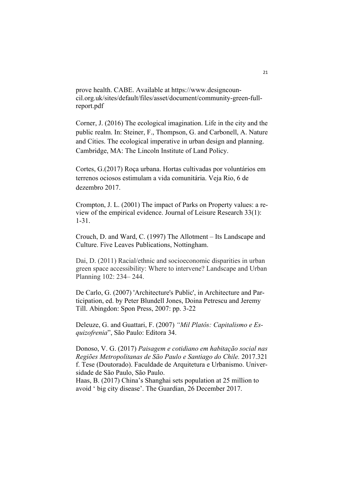prove health. CABE. Available at https://www.designcouncil.org.uk/sites/default/files/asset/document/community-green-fullreport.pdf

Corner, J. (2016) The ecological imagination. Life in the city and the public realm. In: Steiner, F., Thompson, G. and Carbonell, A. Nature and Cities. The ecological imperative in urban design and planning. Cambridge, MA: The Lincoln Institute of Land Policy.

Cortes, G.(2017) Roça urbana. Hortas cultivadas por voluntários em terrenos ociosos estimulam a vida comunitária. Veja Rio, 6 de dezembro 2017.

Crompton, J. L. (2001) The impact of Parks on Property values: a review of the empirical evidence. Journal of Leisure Research 33(1): 1-31.

Crouch, D. and Ward, C. (1997) The Allotment – Its Landscape and Culture. Five Leaves Publications, Nottingham.

Dai, D. (2011) Racial/ethnic and socioeconomic disparities in urban green space accessibility: Where to intervene? Landscape and Urban Planning 102: 234– 244.

De Carlo, G. (2007) 'Architecture's Public', in Architecture and Participation, ed. by Peter Blundell Jones, Doina Petrescu and Jeremy Till. Abingdon: Spon Press, 2007: pp. 3-22

Deleuze, G. and Guattari, F. (2007) *"Mil Platôs: Capitalismo e Esquizofrenia*", São Paulo: Editora 34.

Donoso, V. G. (2017) *Paisagem e cotidiano em habitação social nas Regiões Metropolitanas de São Paulo e Santiago do Chile.* 2017.321 f. Tese (Doutorado). Faculdade de Arquitetura e Urbanismo. Universidade de São Paulo, São Paulo.

Haas, B. (2017) China's Shanghai sets population at 25 million to avoid ' big city disease'. The Guardian, 26 December 2017.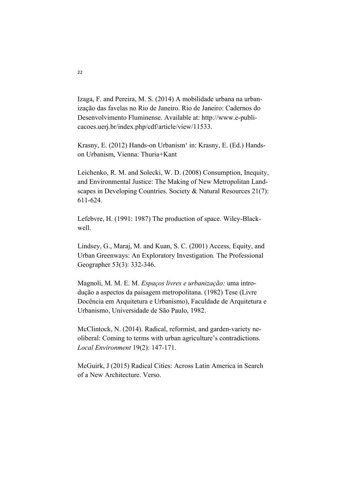Izaga, F. and Pereira, M. S. (2014) A mobilidade urbana na urbanização das favelas no Rio de Janeiro. Rio de Janeiro: Cadernos do Desenvolvimento Fluminense. Available at: http://www.e-publicacoes.uerj.br/index.php/cdf/article/view/11533.

Krasny, E. (2012) Hands-on Urbanism' in: Krasny, E. (Ed.) Handson Urbanism, Vienna: Thuria+Kant

Leichenko, R. M. and Solecki, W. D. (2008) Consumption, Inequity, and Environmental Justice: The Making of New Metropolitan Landscapes in Developing Countries. Society & Natural Resources 21(7): 611-624.

Lefebvre, H. (1991: 1987) The production of space. Wiley-Blackwell.

Lindsey, G., Maraj, M. and Kuan, S. C. (2001) Access, Equity, and Urban Greenways: An Exploratory Investigation. The Professional Geographer 53(3): 332-346.

Magnoli, M. M. E. M. *Espaços livres e urbanização:* uma introdução a aspectos da paisagem metropolitana. (1982) Tese (Livre Docência em Arquitetura e Urbanismo), Faculdade de Arquitetura e Urbanismo, Universidade de São Paulo, 1982.

McClintock, N. (2014). Radical, reformist, and garden-variety neoliberal: Coming to terms with urban agriculture's contradictions. *Local Environment* 19(2): 147-171.

McGuirk, J (2015) Radical Cities: Across Latin America in Search of a New Architecture. Verso.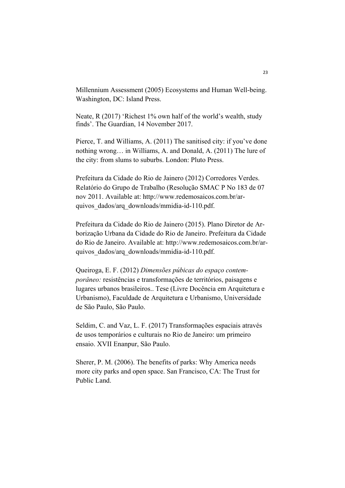Millennium Assessment (2005) Ecosystems and Human Well-being. Washington, DC: Island Press.

Neate, R (2017) 'Richest 1% own half of the world's wealth, study finds'. The Guardian, 14 November 2017.

Pierce, T. and Williams, A. (2011) The sanitised city: if you've done nothing wrong… in Williams, A. and Donald, A. (2011) The lure of the city: from slums to suburbs. London: Pluto Press.

Prefeitura da Cidade do Rio de Jainero (2012) Corredores Verdes. Relatório do Grupo de Trabalho (Resolução SMAC P No 183 de 07 nov 2011. Available at: http://www.redemosaicos.com.br/arquivos\_dados/arq\_downloads/mmidia-id-110.pdf.

Prefeitura da Cidade do Rio de Jainero (2015). Plano Diretor de Arborização Urbana da Cidade do Rio de Janeiro. Prefeitura da Cidade do Rio de Janeiro. Available at: http://www.redemosaicos.com.br/arquivos\_dados/arq\_downloads/mmidia-id-110.pdf.

Queiroga, E. F. (2012) *Dimensões púbicas do espaço contemporâneo:* resistências e transformações de territórios, paisagens e lugares urbanos brasileiros.. Tese (Livre Docência em Arquitetura e Urbanismo), Faculdade de Arquitetura e Urbanismo, Universidade de São Paulo, São Paulo.

Seldim, C. and Vaz, L. F. (2017) Transformações espaciais através de usos temporários e culturais no Rio de Janeiro: um primeiro ensaio. XVII Enanpur, São Paulo.

Sherer, P. M. (2006). The benefits of parks: Why America needs more city parks and open space. San Francisco, CA: The Trust for Public Land.